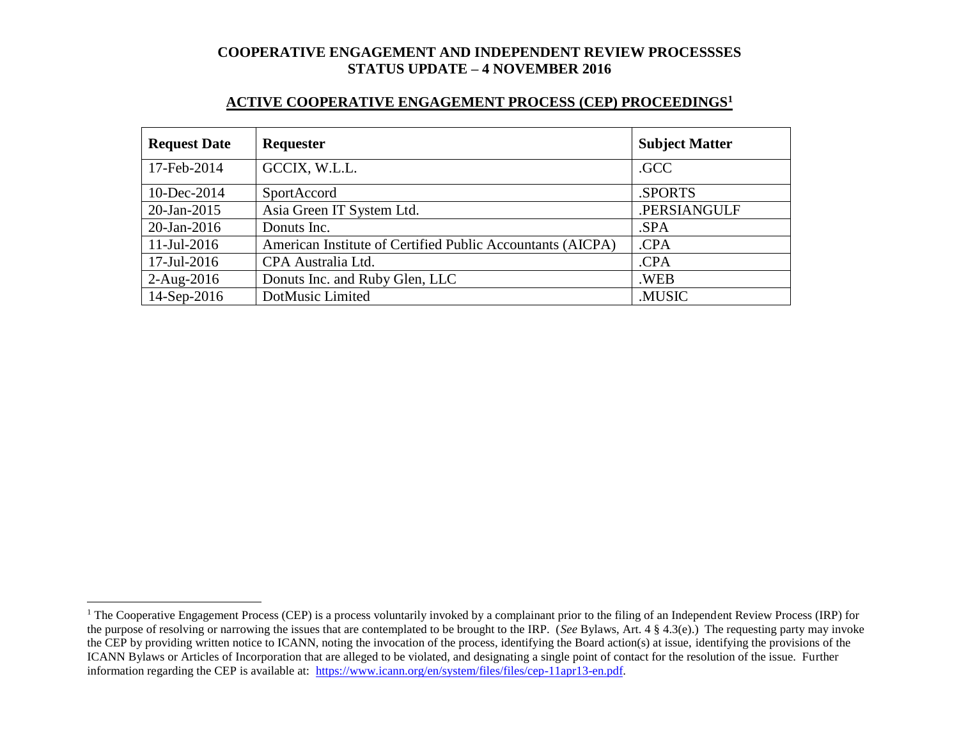#### **ACTIVE COOPERATIVE ENGAGEMENT PROCESS (CEP) PROCEEDINGS<sup>1</sup>**

| <b>Request Date</b> | <b>Requester</b>                                           | <b>Subject Matter</b> |
|---------------------|------------------------------------------------------------|-----------------------|
| 17-Feb-2014         | GCCIX, W.L.L.                                              | .GCC                  |
| 10-Dec-2014         | SportAccord                                                | .SPORTS               |
| $20$ -Jan-2015      | Asia Green IT System Ltd.                                  | .PERSIANGULF          |
| $20$ -Jan-2016      | Donuts Inc.                                                | .SPA                  |
| $11$ -Jul-2016      | American Institute of Certified Public Accountants (AICPA) | .CPA                  |
| 17-Jul-2016         | CPA Australia Ltd.                                         | .CPA                  |
| $2-Aug-2016$        | Donuts Inc. and Ruby Glen, LLC                             | .WEB                  |
| 14-Sep-2016         | DotMusic Limited                                           | .MUSIC                |

l

<sup>&</sup>lt;sup>1</sup> The Cooperative Engagement Process (CEP) is a process voluntarily invoked by a complainant prior to the filing of an Independent Review Process (IRP) for the purpose of resolving or narrowing the issues that are contemplated to be brought to the IRP. (*See* Bylaws, Art. 4 § 4.3(e).) The requesting party may invoke the CEP by providing written notice to ICANN, noting the invocation of the process, identifying the Board action(s) at issue, identifying the provisions of the ICANN Bylaws or Articles of Incorporation that are alleged to be violated, and designating a single point of contact for the resolution of the issue. Further information regarding the CEP is available at: https://www.icann.org/en/system/files/files/cep-11apr13-en.pdf.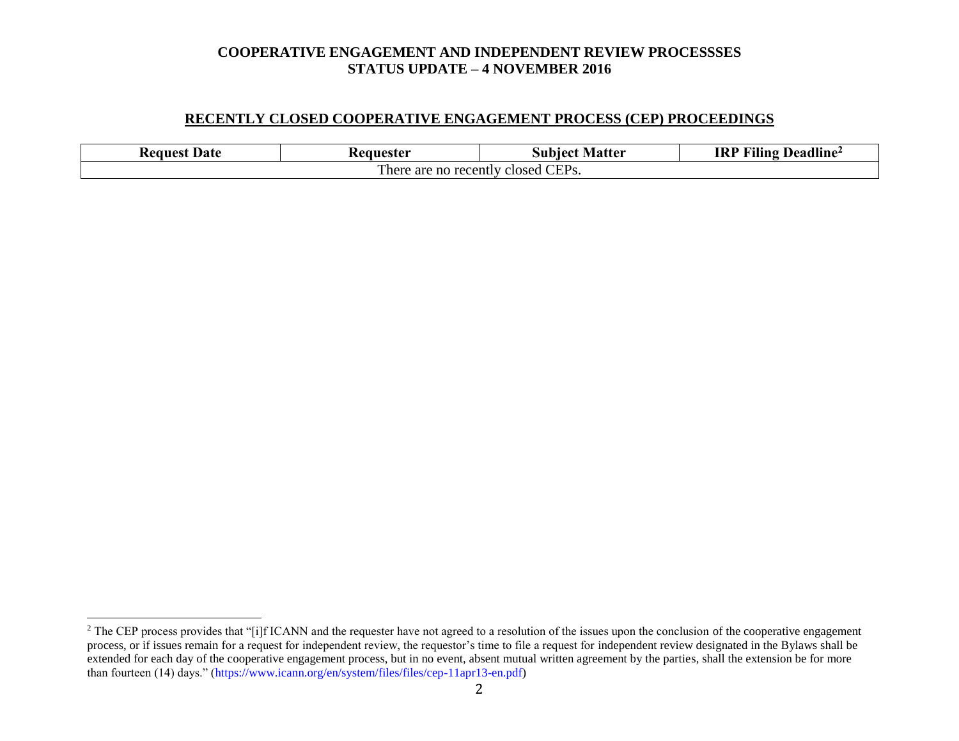#### **RECENTLY CLOSED COOPERATIVE ENGAGEMENT PROCESS (CEP) PROCEEDINGS**

| Date<br>- Request                                       | . Matter<br>ceanester!<br>Subiect |  | .<br>$\sim$<br>$\blacksquare$<br>IRP<br>Deadline <sup>2</sup><br>Alling |  |  |
|---------------------------------------------------------|-----------------------------------|--|-------------------------------------------------------------------------|--|--|
| CEP <sub>s</sub> .<br>here !!<br>are no recently closed |                                   |  |                                                                         |  |  |

l

<sup>&</sup>lt;sup>2</sup> The CEP process provides that "[i]f ICANN and the requester have not agreed to a resolution of the issues upon the conclusion of the cooperative engagement process, or if issues remain for a request for independent review, the requestor's time to file a request for independent review designated in the Bylaws shall be extended for each day of the cooperative engagement process, but in no event, absent mutual written agreement by the parties, shall the extension be for more than fourteen (14) days." (https://www.icann.org/en/system/files/files/cep-11apr13-en.pdf)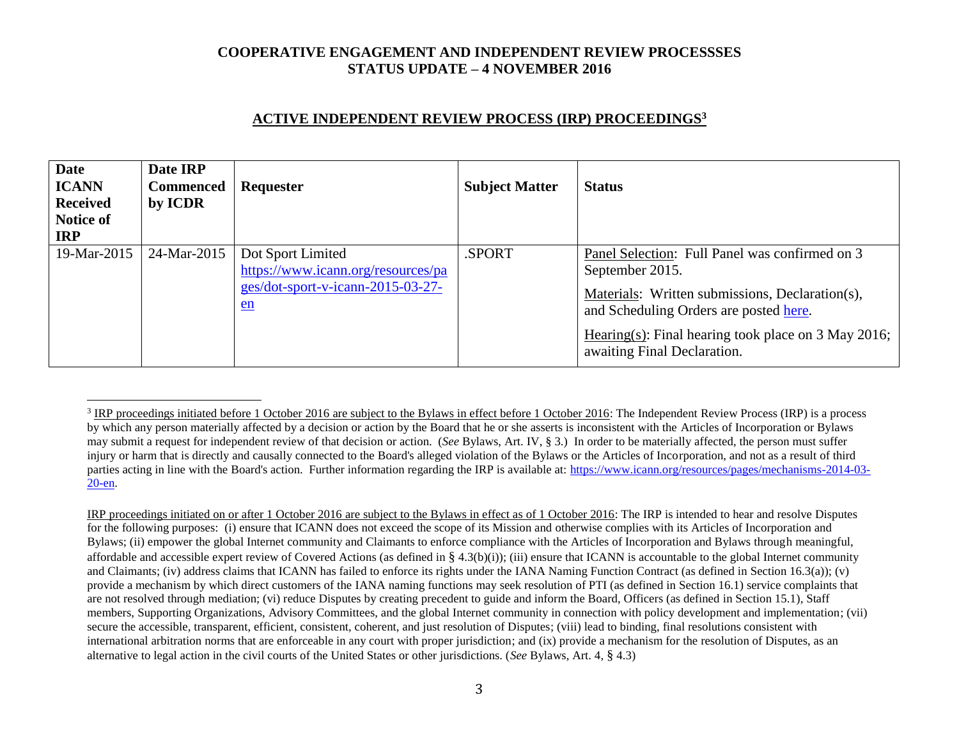# **ACTIVE INDEPENDENT REVIEW PROCESS (IRP) PROCEEDINGS<sup>3</sup>**

| <b>Date</b><br><b>ICANN</b><br><b>Received</b><br>Notice of<br><b>IRP</b> | Date IRP<br><b>Commenced</b><br>by ICDR | Requester                                                                                            | <b>Subject Matter</b> | <b>Status</b>                                                                                                                                                                                                                                        |
|---------------------------------------------------------------------------|-----------------------------------------|------------------------------------------------------------------------------------------------------|-----------------------|------------------------------------------------------------------------------------------------------------------------------------------------------------------------------------------------------------------------------------------------------|
| 19-Mar-2015                                                               | 24-Mar-2015                             | Dot Sport Limited<br>https://www.icann.org/resources/pa<br>ges/dot-sport-v-icann-2015-03-27-<br>$en$ | .SPORT                | Panel Selection: Full Panel was confirmed on 3<br>September 2015.<br>Materials: Written submissions, Declaration(s),<br>and Scheduling Orders are posted here.<br>Hearing(s): Final hearing took place on 3 May 2016;<br>awaiting Final Declaration. |

 $\overline{a}$ 

IRP proceedings initiated on or after 1 October 2016 are subject to the Bylaws in effect as of 1 October 2016: The IRP is intended to hear and resolve Disputes for the following purposes: (i) ensure that ICANN does not exceed the scope of its Mission and otherwise complies with its Articles of Incorporation and Bylaws; (ii) empower the global Internet community and Claimants to enforce compliance with the Articles of Incorporation and Bylaws through meaningful, affordable and accessible expert review of Covered Actions (as defined in § 4.3(b)(i)); (iii) ensure that ICANN is accountable to the global Internet community and Claimants; (iv) address claims that ICANN has failed to enforce its rights under the IANA Naming Function Contract (as defined in Section 16.3(a)); (v) provide a mechanism by which direct customers of the IANA naming functions may seek resolution of PTI (as defined in Section 16.1) service complaints that are not resolved through mediation; (vi) reduce Disputes by creating precedent to guide and inform the Board, Officers (as defined in Section 15.1), Staff members, Supporting Organizations, Advisory Committees, and the global Internet community in connection with policy development and implementation; (vii) secure the accessible, transparent, efficient, consistent, coherent, and just resolution of Disputes; (viii) lead to binding, final resolutions consistent with international arbitration norms that are enforceable in any court with proper jurisdiction; and (ix) provide a mechanism for the resolution of Disputes, as an alternative to legal action in the civil courts of the United States or other jurisdictions. (*See* Bylaws, Art. 4, § 4.3)

 $3$  IRP proceedings initiated before 1 October 2016 are subject to the Bylaws in effect before 1 October 2016: The Independent Review Process (IRP) is a process by which any person materially affected by a decision or action by the Board that he or she asserts is inconsistent with the Articles of Incorporation or Bylaws may submit a request for independent review of that decision or action. (*See* Bylaws, Art. IV, § 3.) In order to be materially affected, the person must suffer injury or harm that is directly and causally connected to the Board's alleged violation of the Bylaws or the Articles of Incorporation, and not as a result of third parties acting in line with the Board's action. Further information regarding the IRP is available at: https://www.icann.org/resources/pages/mechanisms-2014-03- 20-en.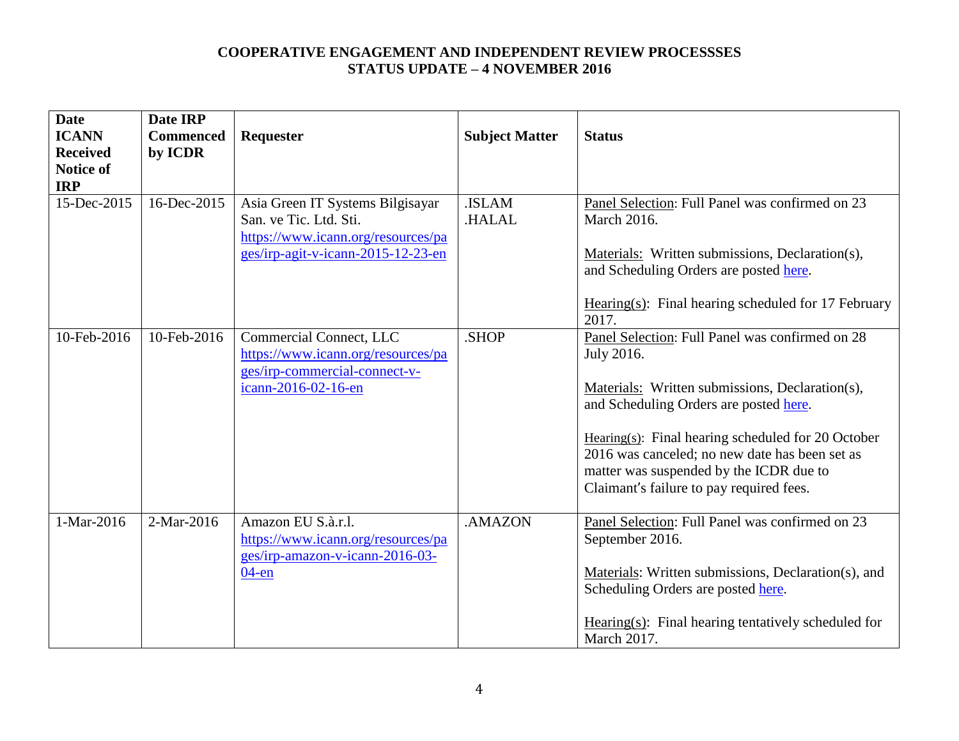| <b>Date</b><br><b>ICANN</b><br><b>Received</b><br><b>Notice of</b><br><b>IRP</b> | Date IRP<br><b>Commenced</b><br>by ICDR | Requester                                                                                                                              | <b>Subject Matter</b> | <b>Status</b>                                                                                                                                                                                                                                                                                                                                                 |
|----------------------------------------------------------------------------------|-----------------------------------------|----------------------------------------------------------------------------------------------------------------------------------------|-----------------------|---------------------------------------------------------------------------------------------------------------------------------------------------------------------------------------------------------------------------------------------------------------------------------------------------------------------------------------------------------------|
| 15-Dec-2015                                                                      | 16-Dec-2015                             | Asia Green IT Systems Bilgisayar<br>San. ve Tic. Ltd. Sti.<br>https://www.icann.org/resources/pa<br>ges/irp-agit-v-icann-2015-12-23-en | .ISLAM<br>.HALAL      | Panel Selection: Full Panel was confirmed on 23<br>March 2016.<br>Materials: Written submissions, Declaration(s),<br>and Scheduling Orders are posted here.<br>Hearing $(s)$ : Final hearing scheduled for 17 February<br>2017.                                                                                                                               |
| 10-Feb-2016                                                                      | 10-Feb-2016                             | Commercial Connect, LLC<br>https://www.icann.org/resources/pa<br>ges/irp-commercial-connect-v-<br>icann-2016-02-16-en                  | .SHOP                 | Panel Selection: Full Panel was confirmed on 28<br>July 2016.<br>Materials: Written submissions, Declaration(s),<br>and Scheduling Orders are posted here.<br>Hearing $(s)$ : Final hearing scheduled for 20 October<br>2016 was canceled; no new date has been set as<br>matter was suspended by the ICDR due to<br>Claimant's failure to pay required fees. |
| 1-Mar-2016                                                                       | 2-Mar-2016                              | Amazon EU S.à.r.l.<br>https://www.icann.org/resources/pa<br>ges/irp-amazon-v-icann-2016-03-<br>$04$ -en                                | .AMAZON               | Panel Selection: Full Panel was confirmed on 23<br>September 2016.<br>Materials: Written submissions, Declaration(s), and<br>Scheduling Orders are posted here.<br>Hearing(s): Final hearing tentatively scheduled for<br><b>March 2017.</b>                                                                                                                  |